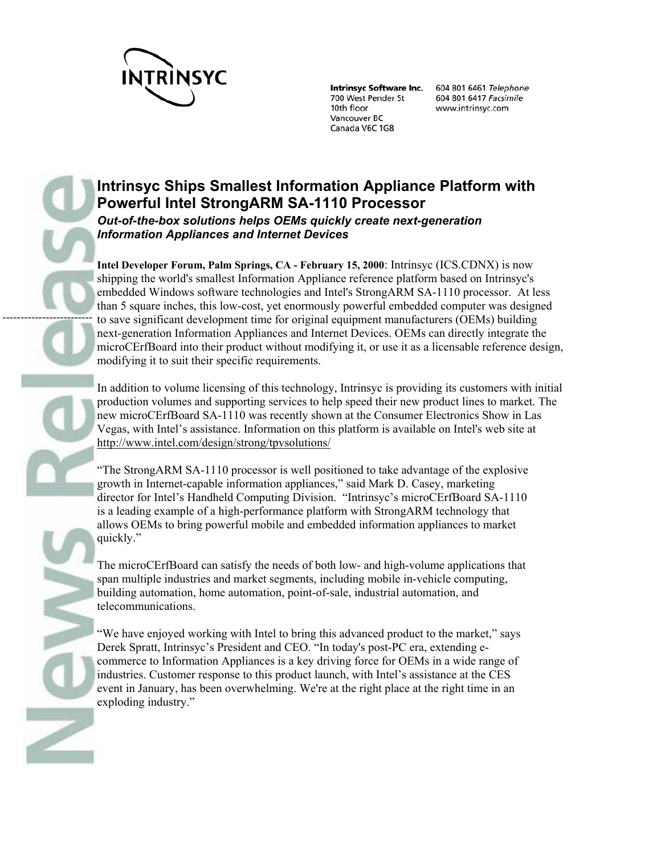

-------------------------

700 West Pender St 10th floor Vancouver BC Canada V6C 1G8

Intrinsyc Software Inc. 604 801 6461 Telephone 604 801 6417 Facsimile www.intrinsyc.com

# **Intrinsyc Ships Smallest Information Appliance Platform with Powerful Intel StrongARM SA-1110 Processor**  *Out-of-the-box solutions helps OEMs quickly create next-generation Information Appliances and Internet Devices*

**Intel Developer Forum, Palm Springs, CA - February 15, 2000**: Intrinsyc (ICS.CDNX) is now shipping the world's smallest Information Appliance reference platform based on Intrinsyc's embedded Windows software technologies and Intel's StrongARM SA-1110 processor. At less than 5 square inches, this low-cost, yet enormously powerful embedded computer was designed to save significant development time for original equipment manufacturers (OEMs) building next-generation Information Appliances and Internet Devices. OEMs can directly integrate the microCErfBoard into their product without modifying it, or use it as a licensable reference design, modifying it to suit their specific requirements.

In addition to volume licensing of this technology, Intrinsyc is providing its customers with initial production volumes and supporting services to help speed their new product lines to market. The new microCErfBoard SA-1110 was recently shown at the Consumer Electronics Show in Las Vegas, with Intel's assistance. Information on this platform is available on Intel's web site at http://www.intel.com/design/strong/tpvsolutions/

"The StrongARM SA-1110 processor is well positioned to take advantage of the explosive growth in Internet-capable information appliances," said Mark D. Casey, marketing director for Intel's Handheld Computing Division. "Intrinsyc's microCErfBoard SA-1110 is a leading example of a high-performance platform with StrongARM technology that allows OEMs to bring powerful mobile and embedded information appliances to market quickly."

The microCErfBoard can satisfy the needs of both low- and high-volume applications that span multiple industries and market segments, including mobile in-vehicle computing, building automation, home automation, point-of-sale, industrial automation, and telecommunications.

"We have enjoyed working with Intel to bring this advanced product to the market," says Derek Spratt, Intrinsyc's President and CEO. "In today's post-PC era, extending ecommerce to Information Appliances is a key driving force for OEMs in a wide range of industries. Customer response to this product launch, with Intel's assistance at the CES event in January, has been overwhelming. We're at the right place at the right time in an exploding industry."